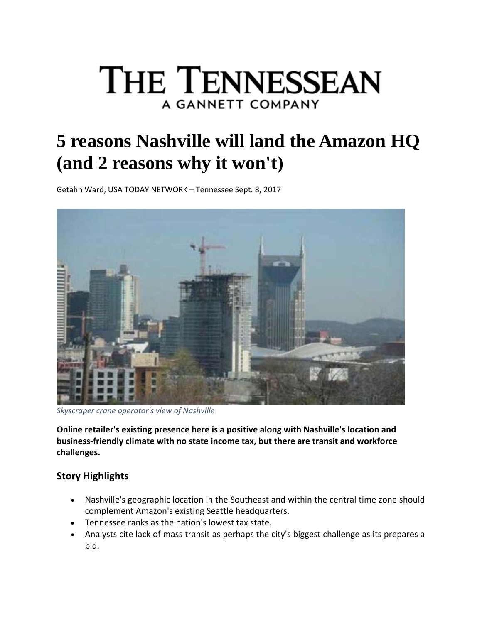# **THE TENNESSEAN** A GANNETT COMPANY

# **5 reasons Nashville will land the Amazon HQ (and 2 reasons why it won't)**

Getahn Ward, USA TODAY NETWORK – Tennessee Sept. 8, 2017



*Skyscraper crane operator's view of Nashville*

**Online retailer's existing presence here is a positive along with Nashville's location and business‐friendly climate with no state income tax, but there are transit and workforce challenges.**

# **Story Highlights**

- Nashville's geographic location in the Southeast and within the central time zone should complement Amazon's existing Seattle headquarters.
- Tennessee ranks as the nation's lowest tax state.
- Analysts cite lack of mass transit as perhaps the city's biggest challenge as its prepares a bid.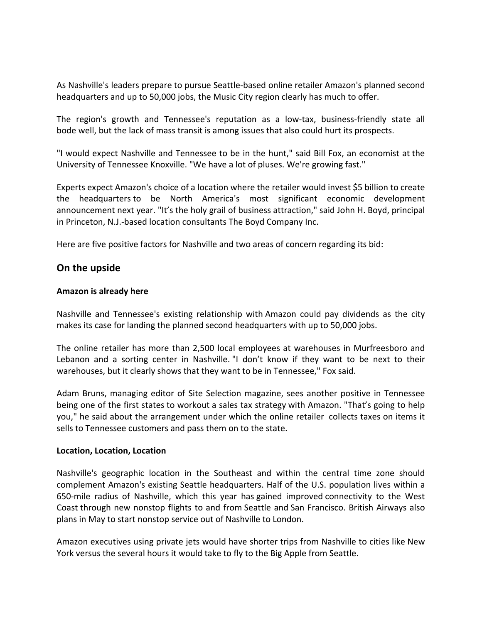As Nashville's leaders prepare to pursue Seattle‐based online retailer Amazon's planned second headquarters and up to 50,000 jobs, the Music City region clearly has much to offer.

The region's growth and Tennessee's reputation as a low-tax, business-friendly state all bode well, but the lack of mass transit is among issues that also could hurt its prospects.

"I would expect Nashville and Tennessee to be in the hunt," said Bill Fox, an economist at the University of Tennessee Knoxville. "We have a lot of pluses. We're growing fast."

Experts expect Amazon's choice of a location where the retailer would invest \$5 billion to create the headquarters to be North America's most significant economic development announcement next year. "It's the holy grail of business attraction," said John H. Boyd, principal in Princeton, N.J.‐based location consultants The Boyd Company Inc.

Here are five positive factors for Nashville and two areas of concern regarding its bid:

# **On the upside**

#### **Amazon is already here**

Nashville and Tennessee's existing relationship with Amazon could pay dividends as the city makes its case for landing the planned second headquarters with up to 50,000 jobs.

The online retailer has more than 2,500 local employees at warehouses in Murfreesboro and Lebanon and a sorting center in Nashville. "I don't know if they want to be next to their warehouses, but it clearly shows that they want to be in Tennessee," Fox said.

Adam Bruns, managing editor of Site Selection magazine, sees another positive in Tennessee being one of the first states to workout a sales tax strategy with Amazon. "That's going to help you," he said about the arrangement under which the online retailer collects taxes on items it sells to Tennessee customers and pass them on to the state.

#### **Location, Location, Location**

Nashville's geographic location in the Southeast and within the central time zone should complement Amazon's existing Seattle headquarters. Half of the U.S. population lives within a 650‐mile radius of Nashville, which this year has gained improved connectivity to the West Coast through new nonstop flights to and from Seattle and San Francisco. British Airways also plans in May to start nonstop service out of Nashville to London.

Amazon executives using private jets would have shorter trips from Nashville to cities like New York versus the several hours it would take to fly to the Big Apple from Seattle.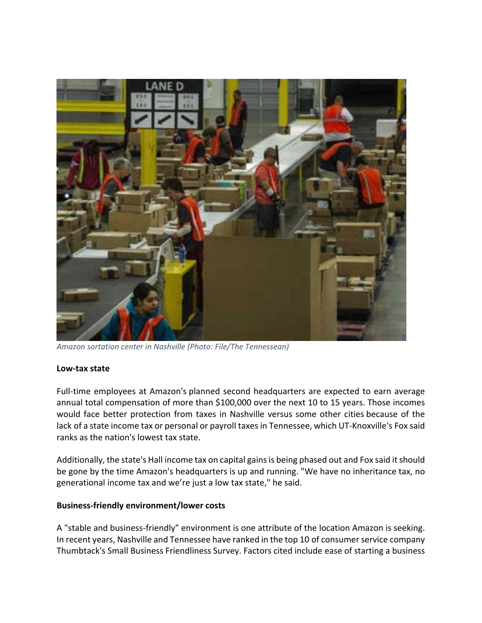

*Amazon sortation center in Nashville (Photo: File/The Tennessean)*

#### **Low‐tax state**

Full-time employees at Amazon's planned second headquarters are expected to earn average annual total compensation of more than \$100,000 over the next 10 to 15 years. Those incomes would face better protection from taxes in Nashville versus some other cities because of the lack of a state income tax or personal or payroll taxes in Tennessee, which UT-Knoxville's Fox said ranks as the nation's lowest tax state.

Additionally, the state's Hall income tax on capital gains is being phased out and Fox said it should be gone by the time Amazon's headquarters is up and running. "We have no inheritance tax, no generational income tax and we're just a low tax state," he said.

# **Business‐friendly environment/lower costs**

A "stable and business‐friendly" environment is one attribute of the location Amazon is seeking. In recent years, Nashville and Tennessee have ranked in the top 10 of consumer service company Thumbtack's Small Business Friendliness Survey. Factors cited include ease of starting a business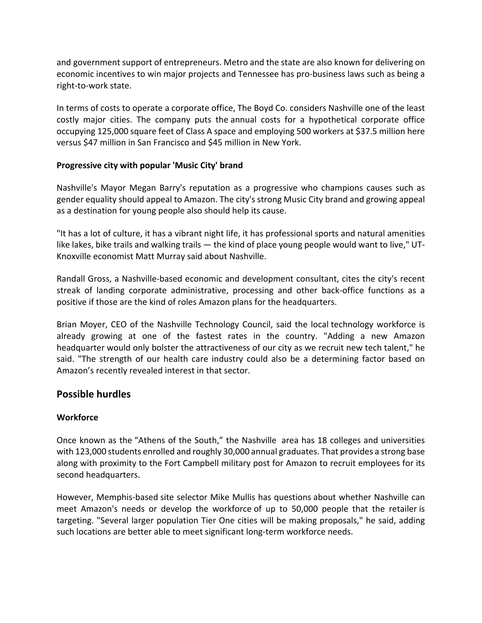and government support of entrepreneurs. Metro and the state are also known for delivering on economic incentives to win major projects and Tennessee has pro‐business laws such as being a right‐to‐work state.

In terms of costs to operate a corporate office, The Boyd Co. considers Nashville one of the least costly major cities. The company puts the annual costs for a hypothetical corporate office occupying 125,000 square feet of Class A space and employing 500 workers at \$37.5 million here versus \$47 million in San Francisco and \$45 million in New York.

#### **Progressive city with popular 'Music City' brand**

Nashville's Mayor Megan Barry's reputation as a progressive who champions causes such as gender equality should appeal to Amazon. The city's strong Music City brand and growing appeal as a destination for young people also should help its cause.

"It has a lot of culture, it has a vibrant night life, it has professional sports and natural amenities like lakes, bike trails and walking trails — the kind of place young people would want to live," UT‐ Knoxville economist Matt Murray said about Nashville.

Randall Gross, a Nashville‐based economic and development consultant, cites the city's recent streak of landing corporate administrative, processing and other back‐office functions as a positive if those are the kind of roles Amazon plans for the headquarters.

Brian Moyer, CEO of the Nashville Technology Council, said the local technology workforce is already growing at one of the fastest rates in the country. "Adding a new Amazon headquarter would only bolster the attractiveness of our city as we recruit new tech talent," he said. "The strength of our health care industry could also be a determining factor based on Amazon's recently revealed interest in that sector.

# **Possible hurdles**

# **Workforce**

Once known as the "Athens of the South," the Nashville area has 18 colleges and universities with 123,000 students enrolled and roughly 30,000 annual graduates. That provides a strong base along with proximity to the Fort Campbell military post for Amazon to recruit employees for its second headquarters.

However, Memphis‐based site selector Mike Mullis has questions about whether Nashville can meet Amazon's needs or develop the workforce of up to 50,000 people that the retailer is targeting. "Several larger population Tier One cities will be making proposals," he said, adding such locations are better able to meet significant long-term workforce needs.